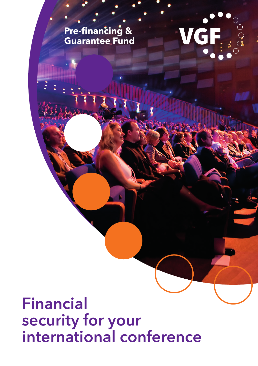**Pre-financing & Guarantee Fund** VGF....

**Financial security for your international conference**